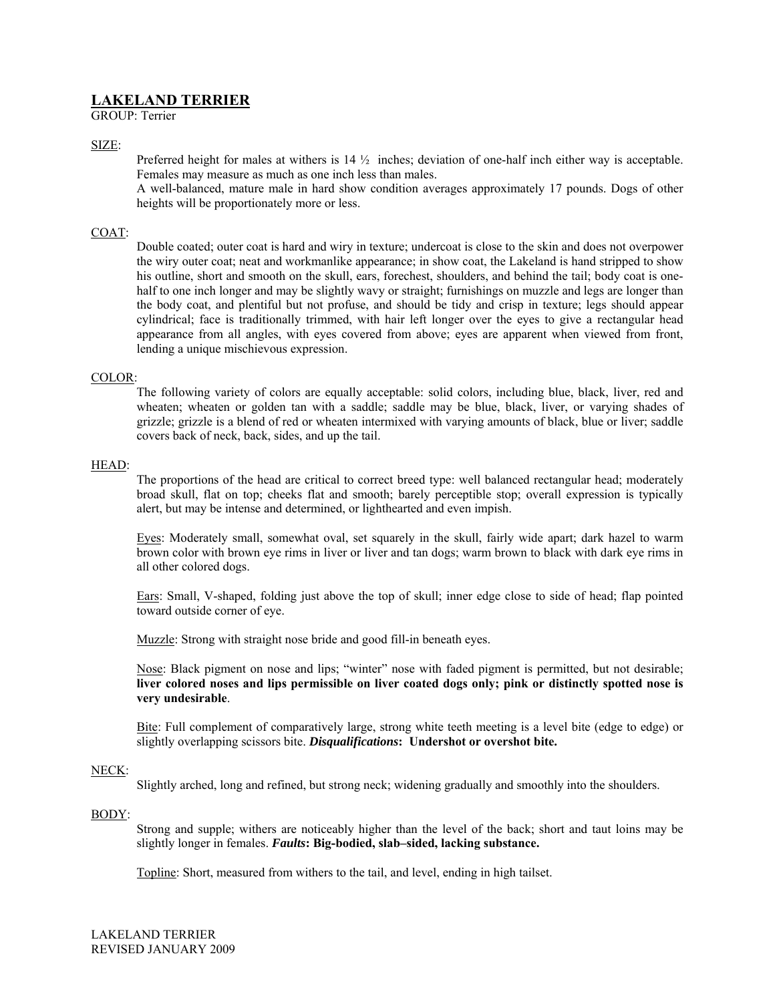# **LAKELAND TERRIER**

GROUP: Terrier

SIZE:

Preferred height for males at withers is 14 ½ inches; deviation of one-half inch either way is acceptable. Females may measure as much as one inch less than males.

A well-balanced, mature male in hard show condition averages approximately 17 pounds. Dogs of other heights will be proportionately more or less.

## COAT:

Double coated; outer coat is hard and wiry in texture; undercoat is close to the skin and does not overpower the wiry outer coat; neat and workmanlike appearance; in show coat, the Lakeland is hand stripped to show his outline, short and smooth on the skull, ears, forechest, shoulders, and behind the tail; body coat is onehalf to one inch longer and may be slightly wavy or straight; furnishings on muzzle and legs are longer than the body coat, and plentiful but not profuse, and should be tidy and crisp in texture; legs should appear cylindrical; face is traditionally trimmed, with hair left longer over the eyes to give a rectangular head appearance from all angles, with eyes covered from above; eyes are apparent when viewed from front, lending a unique mischievous expression.

## COLOR:

The following variety of colors are equally acceptable: solid colors, including blue, black, liver, red and wheaten; wheaten or golden tan with a saddle; saddle may be blue, black, liver, or varying shades of grizzle; grizzle is a blend of red or wheaten intermixed with varying amounts of black, blue or liver; saddle covers back of neck, back, sides, and up the tail.

## HEAD:

The proportions of the head are critical to correct breed type: well balanced rectangular head; moderately broad skull, flat on top; cheeks flat and smooth; barely perceptible stop; overall expression is typically alert, but may be intense and determined, or lighthearted and even impish.

Eyes: Moderately small, somewhat oval, set squarely in the skull, fairly wide apart; dark hazel to warm brown color with brown eye rims in liver or liver and tan dogs; warm brown to black with dark eye rims in all other colored dogs.

Ears: Small, V-shaped, folding just above the top of skull; inner edge close to side of head; flap pointed toward outside corner of eye.

Muzzle: Strong with straight nose bride and good fill-in beneath eyes.

Nose: Black pigment on nose and lips; "winter" nose with faded pigment is permitted, but not desirable; **liver colored noses and lips permissible on liver coated dogs only; pink or distinctly spotted nose is very undesirable**.

Bite: Full complement of comparatively large, strong white teeth meeting is a level bite (edge to edge) or slightly overlapping scissors bite. *Disqualifications***: Undershot or overshot bite.** 

## NECK:

Slightly arched, long and refined, but strong neck; widening gradually and smoothly into the shoulders.

# BODY:

Strong and supple; withers are noticeably higher than the level of the back; short and taut loins may be slightly longer in females. *Faults***: Big-bodied, slab–sided, lacking substance.** 

Topline: Short, measured from withers to the tail, and level, ending in high tailset.